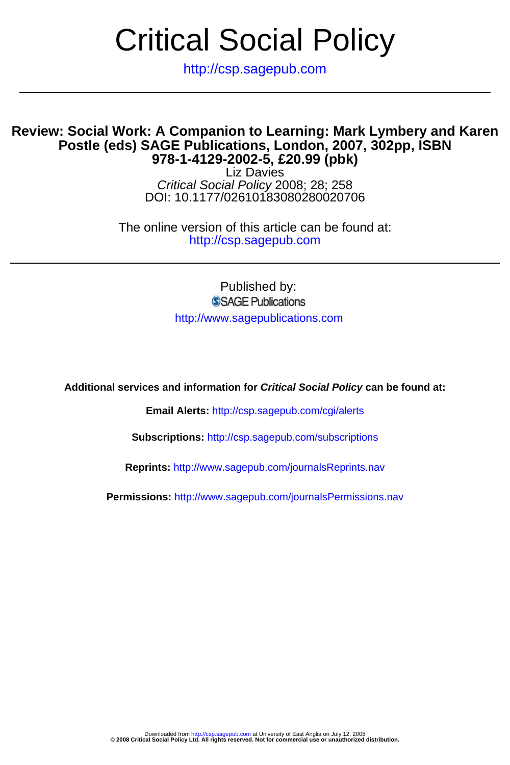## Critical Social Policy

http://csp.sagepub.com

## **978-1-4129-2002-5, £20.99 (pbk) Postle (eds) SAGE Publications, London, 2007, 302pp, ISBN Review: Social Work: A Companion to Learning: Mark Lymbery and Karen**

DOI: 10.1177/02610183080280020706 Critical Social Policy 2008; 28; 258 Liz Davies

http://csp.sagepub.com The online version of this article can be found at:

> Published by: SSAGE Publications http://www.sagepublications.com

**Additional services and information for Critical Social Policy can be found at:**

**Email Alerts:** <http://csp.sagepub.com/cgi/alerts>

**Subscriptions:** <http://csp.sagepub.com/subscriptions>

**Reprints:** <http://www.sagepub.com/journalsReprints.nav>

**Permissions:** <http://www.sagepub.com/journalsPermissions.nav>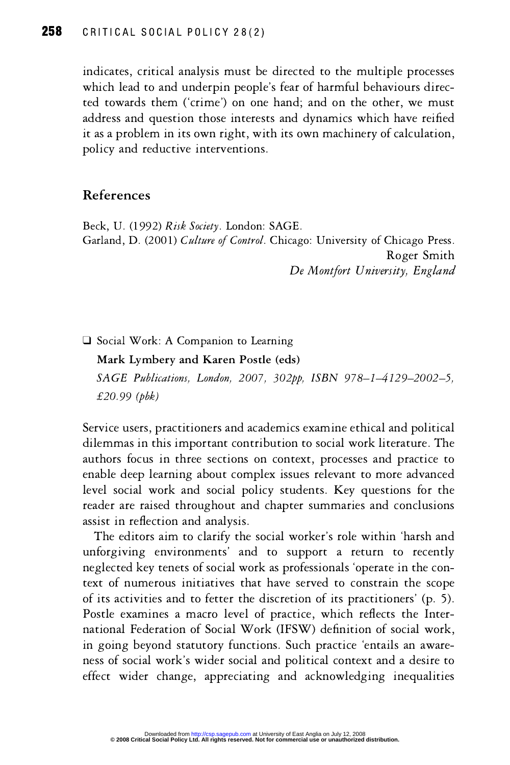which lead to and underpin people's fear of harmful behaviours directed towards them ('crime') on one hand; and on the other, we must<br>address and question those interests and dynamics which have reified address and question those interests and dynamics which have reified  $\frac{1}{100}$  as a problem in its own right, with its own machinery of calculation. notes a problem in red startight, while starting - pone, and reductive interventions.

## References

Garland, D. (2001) Culture of Control. Chicago: Univ Beck, U. (1992) Risk Society. London: SAGE.  $\frac{1}{2}$   $\frac{1}{2}$   $\frac{1}{2}$   $\frac{1}{2}$   $\frac{1}{2}$   $\frac{1}{2}$   $\frac{1}{2}$   $\frac{1}{2}$   $\frac{1}{2}$   $\frac{1}{2}$   $\frac{1}{2}$   $\frac{1}{2}$   $\frac{1}{2}$   $\frac{1}{2}$   $\frac{1}{2}$   $\frac{1}{2}$   $\frac{1}{2}$   $\frac{1}{2}$   $\frac{1}{2}$   $\frac{1}{2}$   $\frac{1}{2}$   $\frac{1}{2}$  ---g-- -------<br>rsitv\_Fnoland De Montfort University, England

Social Work: A Companion to Learning

 $8 \times 10^{-1}$   $\frac{1 \times 10^{-1} \text{ N}}{1 \times 10^{-1}}$  $\frac{1}{2}$   $\frac{1}{2}$   $\frac{1}{2}$   $\frac{1}{2}$   $\frac{1}{2}$   $\frac{1}{2}$   $\frac{1}{2}$   $\frac{1}{2}$   $\frac{1}{2}$   $\frac{1}{2}$   $\frac{1}{2}$   $\frac{1}{2}$   $\frac{1}{2}$   $\frac{1}{2}$   $\frac{1}{2}$   $\frac{1}{2}$   $\frac{1}{2}$   $\frac{1}{2}$   $\frac{1}{2}$   $\frac{1}{2}$   $\frac{1}{2}$   $\frac{1}{2}$  SAGE Publications, Lonaon, 2007, 302pp, ISBN 978–1–4129–2002–),  $£20.99$  (*pbk*)

out the about, presentence and academics channel center and perfected<br>dilemmas in this important contribution to social work literature. The anthors focus in three sections on context processes and practice to enable deep learning about complex issues relevant to more advanced ensity are presenting some complex recurs for the contract as interests reader are raised throughout and chapter summaries and conclusions assist in reflection and analysis. where the community and continuously

The editors aim to clarify the expressional contract of the second the second the second the second the second second second second second second second second second second second second second second second second second second second second second se anotgring entrominate and to capper a recent to recently rext of numerous initiatives that have served to constrain the scope of its activities and to fetter the discretion of its practitioners' (p. 5).<br>Postle examines a macro level of practice, which reflects the Inter-Postle examines a macro level of practice which re FRAMEL PRODUCED TO PERSON THE PRODUCED THE TIME<br>
national Federation of Social Work (IFSW) definition of social work,<br>
in going beyond statutory functions. Such practice 'entails an awarein going beyond statutory functions. Such practice 'entails an awareexpected work's wider social and political context and a desire to effect wider change appreciating and acknowledging inequalities ence where enange, appreciating and active wreiging inequalities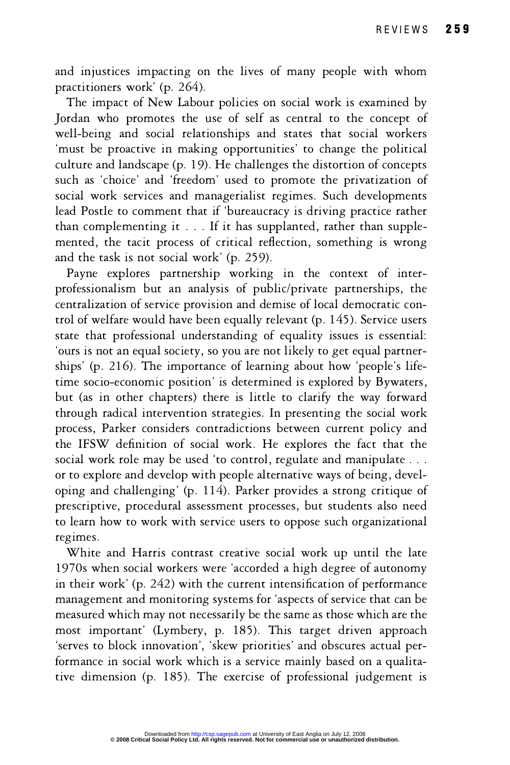and injustices impacting on the lives of many people with whom practitioners work' (p. 264).

The impact of New Labour policies on social work is examined by Jordan who promotes the use of self as central to the concept of well-being and social relationships and states that social workers 'must be proactive in making opportunities' to change the political culture and landscape (p. 19). He challenges the distortion of concepts such as 'choice' and 'freedom' used to promote the privatization of social work services and managerialist regimes. Such developments lead Postle to comment that if 'bureaucracy is driving practice rather than complementing it . . . If it has supplanted, rather than supplemented, the tacit process of critical reflection, something is wrong and the task is not social work' (p. 259).

Payne explores partnership working in the context of interprofessionalism but an analysis of public/private partnerships, the centralization of service provision and demise of local democratic control of welfare would have been equally relevant (p. 145). Service users state that professional understanding of equality issues is essential: 'ours is not an equal society, so you are not likely to get equal partnerships' (p. 216). The importance of learning about how 'people's lifetime socio-economic position' is determined is explored by Bywaters, but (as in other chapters) there is little to clarify the way forward through radical intervention strategies. In presenting the social work process, Parker considers contradictions between current policy and the IFSW definition of social work. He explores the fact that the social work role may be used 'to control, regulate and manipulate . . . or to explore and develop with people alternative ways of being, developing and challenging' (p. 114). Parker provides a strong critique of prescriptive, procedural assessment processes, but students also need to learn how to work with service users to oppose such organizational regimes.

White and Harris contrast creative social work up until the late 1970s when social workers were 'accorded a high degree of autonomy in their work' (p. 242) with the current intensification of performance management and monitoring systems for 'aspects of service that can be measured which may not necessarily be the same as those which are the most important' (Lymbery, p. 185). This target driven approach 'serves to block innovation', 'skew priorities' and obscures actual performance in social work which is a service mainly based on a qualitative dimension (p. 185). The exercise of professional judgement is